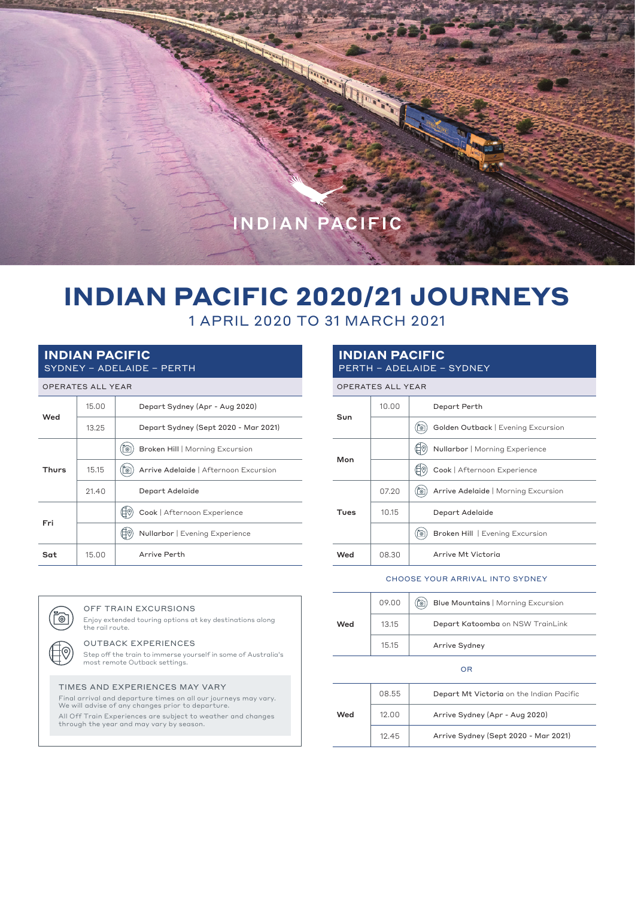

**CONTRACTOR** 

# **INDIAN PACIFIC 2020/21 JOURNEYS**

## 1 APRIL 2020 TO 31 MARCH 2021

#### **INDIAN PACIFIC** SYDNEY – ADELAIDE – PERTH

|  | <b>OPERATES ALL YEAR</b> |  |  |  |
|--|--------------------------|--|--|--|
|--|--------------------------|--|--|--|

|              | VI LIVATLY ALL TLAIV |                                            |  |  |
|--------------|----------------------|--------------------------------------------|--|--|
|              | 15,00                | Depart Sydney (Apr - Aug 2020)             |  |  |
| Wed          | 13.25                | Depart Sydney (Sept 2020 - Mar 2021)       |  |  |
| <b>Thurs</b> |                      | Broken Hill   Morning Excursion<br>Õ       |  |  |
|              | 15.15                | Arrive Adelaide   Afternoon Excursion<br>ි |  |  |
|              | 21.40                | Depart Adelaide                            |  |  |
| Fri          |                      | Cook   Afternoon Experience                |  |  |
|              |                      | Nullarbor   Evening Experience             |  |  |
| Sat          | 15,00                | Arrive Perth                               |  |  |

#### **INDIAN PACIFIC** PERTH – ADELAIDE – SYDNEY

|      | <b>OPERATES ALL YEAR</b> |                                          |
|------|--------------------------|------------------------------------------|
|      | 10.00                    | Depart Perth                             |
| Sun  |                          | Golden Outback   Evening Excursion<br>ි  |
| Mon  |                          | Nullarbor   Morning Experience           |
|      |                          | Cook   Afternoon Experience              |
| Tues | 07.20                    | Arrive Adelaide   Morning Excursion<br>್ |
|      | 10.15                    | Depart Adelaide                          |
|      |                          | Broken Hill   Evening Excursion<br>්ලා   |
| Wed  | 08.30                    | Arrive Mt Victoria                       |

#### CHOOSE YOUR ARRIVAL INTO SYDNEY

|     | 09.00 | ig!<br>Blue Mountains   Morning Excursion |  |  |  |
|-----|-------|-------------------------------------------|--|--|--|
| Wed | 13.15 | Depart Katoomba on NSW TrainLink          |  |  |  |
|     | 15.15 | Arrive Sydney                             |  |  |  |

#### OR

| Wed | 08.55 | Depart Mt Victoria on the Indian Pacific |  |  |
|-----|-------|------------------------------------------|--|--|
|     | 12.00 | Arrive Sydney (Apr - Aug 2020)           |  |  |
|     | 12.45 | Arrive Sydney (Sept 2020 - Mar 2021)     |  |  |

### the rail route.

୮⊚ັ

OUTBACK EXPERIENCES Step off the train to immerse yourself in some of Australia's most remote Outback settings.

Enjoy extended touring options at key destinations along

#### TIMES AND EXPERIENCES MAY VARY

OFF TRAIN EXCURSIONS

Final arrival and departure times on all our journeys may vary. We will advise of any changes prior to departure. All Off Train Experiences are subject to weather and changes through the year and may vary by season.